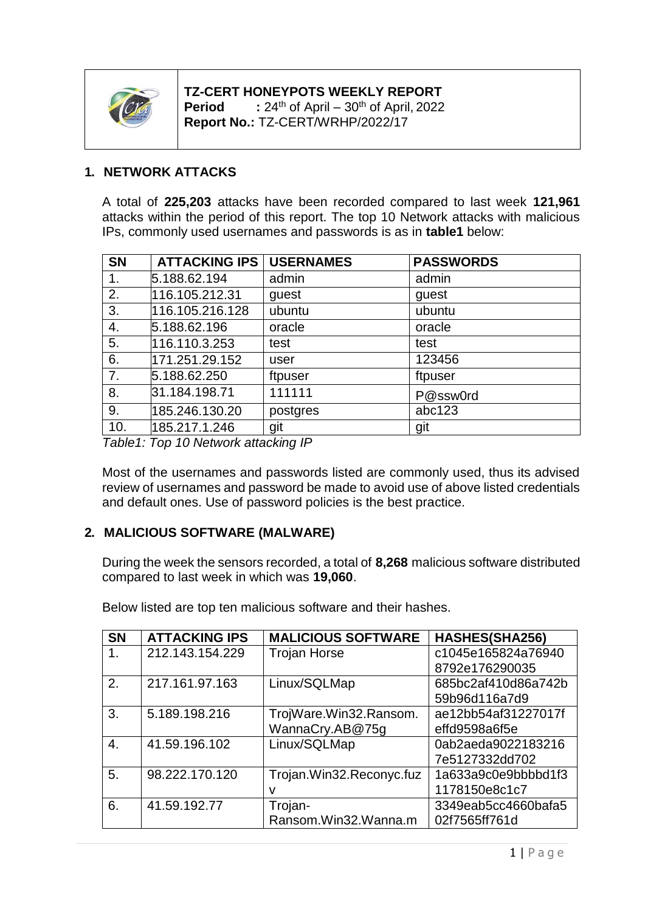

# **TZ-CERT HONEYPOTS WEEKLY REPORT**

**Period**  $\qquad$  :  $24^{th}$  of April –  $30^{th}$  of April, 2022 **Report No.:** TZ-CERT/WRHP/2022/17

## **1. NETWORK ATTACKS**

A total of **225,203** attacks have been recorded compared to last week **121,961** attacks within the period of this report. The top 10 Network attacks with malicious IPs, commonly used usernames and passwords is as in **table1** below:

| <b>SN</b>      | <b>ATTACKING IPS</b> | <b>USERNAMES</b> | <b>PASSWORDS</b> |
|----------------|----------------------|------------------|------------------|
| $\mathbf{1}$ . | 5.188.62.194         | admin            | admin            |
| 2.             | 116.105.212.31       | guest            | guest            |
| 3.             | 116.105.216.128      | ubuntu           | ubuntu           |
| 4.             | 5.188.62.196         | oracle           | oracle           |
| 5.             | 116.110.3.253        | test             | test             |
| 6.             | 171.251.29.152       | user             | 123456           |
| 7.             | 5.188.62.250         | ftpuser          | ftpuser          |
| 8.             | 31.184.198.71        | 111111           | P@ssw0rd         |
| 9.             | 185.246.130.20       | postgres         | abc123           |
| 10.            | 185.217.1.246        | git              | git              |

*Table1: Top 10 Network attacking IP*

Most of the usernames and passwords listed are commonly used, thus its advised review of usernames and password be made to avoid use of above listed credentials and default ones. Use of password policies is the best practice.

## **2. MALICIOUS SOFTWARE (MALWARE)**

During the week the sensors recorded, a total of **8,268** malicious software distributed compared to last week in which was **19,060**.

| <b>SN</b> | <b>ATTACKING IPS</b> | <b>MALICIOUS SOFTWARE</b> | HASHES(SHA256)      |
|-----------|----------------------|---------------------------|---------------------|
|           | 212.143.154.229      | <b>Trojan Horse</b>       | c1045e165824a76940  |
|           |                      |                           | 8792e176290035      |
| 2.        | 217.161.97.163       | Linux/SQLMap              | 685bc2af410d86a742b |
|           |                      |                           | 59b96d116a7d9       |
| 3.        | 5.189.198.216        | TrojWare.Win32.Ransom.    | ae12bb54af31227017f |
|           |                      | WannaCry.AB@75g           | effd9598a6f5e       |
| 4.        | 41.59.196.102        | Linux/SQLMap              | 0ab2aeda9022183216  |
|           |                      |                           | 7e5127332dd702      |
| 5.        | 98.222.170.120       | Trojan.Win32.Reconyc.fuz  | 1a633a9c0e9bbbbd1f3 |
|           |                      |                           | 1178150e8c1c7       |
| 6.        | 41.59.192.77         | Trojan-                   | 3349eab5cc4660bafa5 |
|           |                      | Ransom.Win32.Wanna.m      | 02f7565ff761d       |

Below listed are top ten malicious software and their hashes.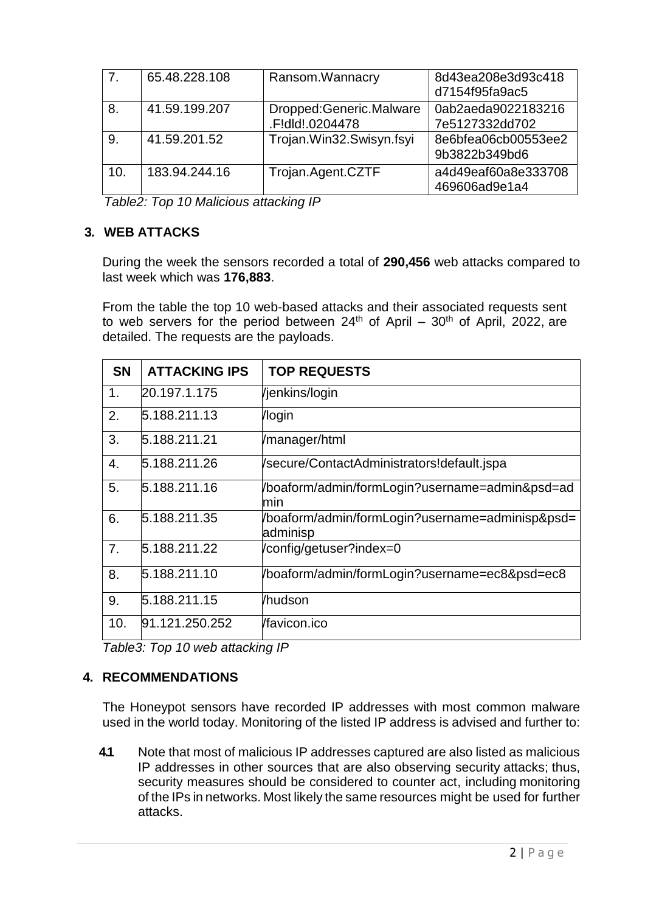| $\overline{7}$ | 65.48.228.108 | Ransom.Wannacry          | 8d43ea208e3d93c418  |
|----------------|---------------|--------------------------|---------------------|
|                |               |                          | d7154f95fa9ac5      |
| 8.             | 41.59.199.207 | Dropped:Generic.Malware  | 0ab2aeda9022183216  |
|                |               | .F!dld!.0204478          | 7e5127332dd702      |
| 9.             | 41.59.201.52  | Trojan.Win32.Swisyn.fsyi | 8e6bfea06cb00553ee2 |
|                |               |                          | 9b3822b349bd6       |
| 10.            | 183.94.244.16 | Trojan.Agent.CZTF        | a4d49eaf60a8e333708 |
|                |               |                          | 469606ad9e1a4       |

*Table2: Top 10 Malicious attacking IP*

### **3. WEB ATTACKS**

During the week the sensors recorded a total of **290,456** web attacks compared to last week which was **176,883**.

From the table the top 10 web-based attacks and their associated requests sent to web servers for the period between  $24<sup>th</sup>$  of April –  $30<sup>th</sup>$  of April, 2022, are detailed. The requests are the payloads.

| <b>SN</b>      | <b>ATTACKING IPS</b> | <b>TOP REQUESTS</b>                                         |
|----------------|----------------------|-------------------------------------------------------------|
| 1.             | 20.197.1.175         | /jenkins/login                                              |
| 2.             | 5.188.211.13         | /login                                                      |
| 3.             | 5.188.211.21         | /manager/html                                               |
| 4.             | 5.188.211.26         | /secure/ContactAdministrators!default.jspa                  |
| 5.             | 5.188.211.16         | /boaform/admin/formLogin?username=admin&psd=ad<br>min       |
| 6.             | 5.188.211.35         | /boaform/admin/formLogin?username=adminisp&psd=<br>adminisp |
| 7 <sub>1</sub> | 5.188.211.22         | /config/getuser?index=0                                     |
| 8.             | 5.188.211.10         | /boaform/admin/formLogin?username=ec8&psd=ec8               |
| 9.             | 5.188.211.15         | /hudson                                                     |
| 10.            | 91.121.250.252       | /favicon.ico                                                |

*Table3: Top 10 web attacking IP*

#### **4. RECOMMENDATIONS**

The Honeypot sensors have recorded IP addresses with most common malware used in the world today. Monitoring of the listed IP address is advised and further to:

**4.1** Note that most of malicious IP addresses captured are also listed as malicious IP addresses in other sources that are also observing security attacks; thus, security measures should be considered to counter act, including monitoring of the IPs in networks. Most likely the same resources might be used for further attacks.